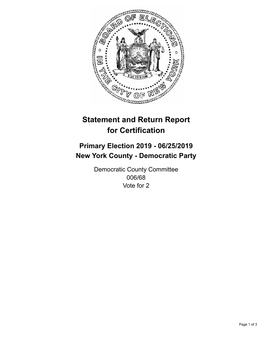

## **Statement and Return Report for Certification**

## **Primary Election 2019 - 06/25/2019 New York County - Democratic Party**

Democratic County Committee 006/68 Vote for 2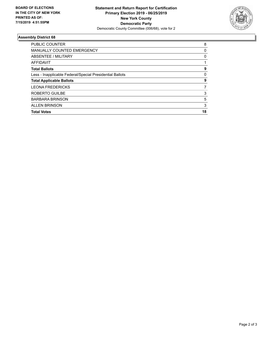

## **Assembly District 68**

| PUBLIC COUNTER                                           | 8  |
|----------------------------------------------------------|----|
| <b>MANUALLY COUNTED EMERGENCY</b>                        | 0  |
| ABSENTEE / MILITARY                                      | 0  |
| AFFIDAVIT                                                |    |
| <b>Total Ballots</b>                                     | 9  |
| Less - Inapplicable Federal/Special Presidential Ballots | 0  |
| <b>Total Applicable Ballots</b>                          | 9  |
| <b>LEONA FREDERICKS</b>                                  | 7  |
| ROBERTO GUILBE                                           | 3  |
| <b>BARBARA BRINSON</b>                                   | 5  |
| <b>ALLEN BRINSON</b>                                     | 3  |
| <b>Total Votes</b>                                       | 18 |